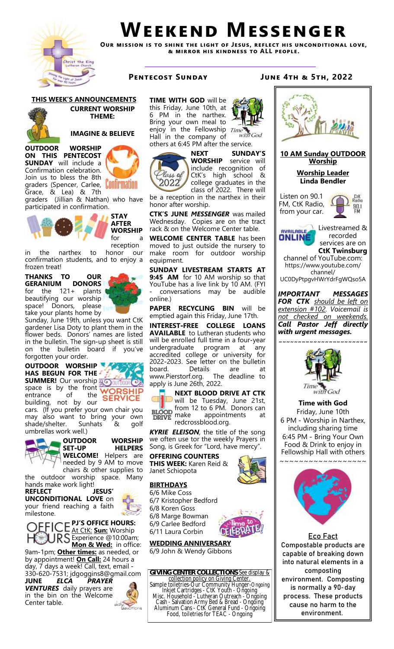

# **Weekend Messenger**

**Our mission is to shine the light of Jesus, reflect his unconditional love, & mirror his kindness to ALL people.**

**THIS WEEK'S ANNOUNCEMENTS**



**CURRENT WORSHIP THEME:** 

**IMAGINE & BELIEVE**

graders (Spencer, Carlee, **Continuation** 

Grace, & Lea) & 7th graders (Jillian & Nathan) who have participated in confirmation.



**OUTDOOR WORSHIP ON THIS PENTECOST SUNDAY** will include a Confirmation celebration. Join us to bless the 8th

> **WORSHIP** for a reception

**STAY AFTER** 

in the narthex to honor our confirmation students, and to enjoy a frozen treat!

**THANKS TO OUR GERANIUM DONORS**<br>for the 121+ plants for the  $121+$ beautifying our worship space! Donors, please take your plants home by



Sunday, June 19th, unless you want CtK gardener Lisa Doty to plant them in the flower beds. Donors' names are listed in the bulletin. The sign-up sheet is still on the bulletin board if you've forgotten your order.

## **OUTDOOR WORSHIP HAS BEGUN FOR THE SUMMER!** Our worship **BOOUTBOOK**

space is by the front WORSHIP<br>entrance of the SERVICE **WORSHIP** entrance of building, not by our cars. (If you prefer your own chair you may also want to bring your own shade/shelter. Sunhats & golf



umbrellas work well.)

**OUTDOOR WORSHIP HELPERS WELCOME!** Helpers are needed by 9 AM to move chairs & other supplies to the outdoor worship space. Many

hands make work light! **REFLECT JESUS' UNCONDITIONAL LOVE** on your friend reaching a faith

milestone. **PJ'S OFFICE HOURS:** 

At CtK: **Sun:** Worship S Experience @10:00am; **Mon & Wed:** in office: 9am-1pm; **Other times:** as needed, or by appointment! **On Call:** 24 hours a day, 7 days a week! Call, text, email - 330-620-7531; jdgoggins8@gmail.com

**JUNE** *ELCA PRAYER VENTURES* daily prayers are in the bin on the Welcome Center table.



**TIME WITH GOD** will be this Friday, June 10th, at 6 PM in the narthex. Bring your own meal to enjoy in the Fellowship Time Hall in the company of others at 6:45 PM after the service.



**NEXT SUNDAY'S**<br>**WORSHIP** service will service will include recognition of CtK's high school & college graduates in the class of 2022. There will

with God

be a reception in the narthex in their honor after worship.

**CTK'S JUNE** *MESSENGER* was mailed Wednesday. Copies are on the tract rack & on the Welcome Center table.

**WELCOME CENTER TABLE** has been moved to just outside the nursery to make room for outdoor worship equipment.

**SUNDAY LIVESTREAM STARTS AT 9:45 AM** for 10 AM worship so that YouTube has a live link by 10 AM. (FYI - conversations may be audible online.)

**PAPER RECYCLING BIN** will be emptied again this Friday, June 17th.

**INTEREST-FREE COLLEGE LOANS AVAILABLE** to Lutheran students who will be enrolled full time in a four-year undergraduate program at any accredited college or university for 2022-2023. See letter on the bulletin board. Details are at<br>www.Pierstorf.org. The deadline to www.Pierstorf.org. apply is June 26th, 2022.

**NEXT BLOOD DRIVE AT CTK**  will be Tuesday, June 21st, from 12 to 6 PM. Donors can **BLOOD** DRIVE make appointments redcrossblood.org.

*KYRIE ELEISON,* the title of the song we often use tor the weekly Prayers in Song, is Greek for "Lord, have mercy".

**OFFERING COUNTERS THIS WEEK:** Karen Reid & Janet Schiopota

# **BIRTHDAYS**



**WEDDING ANNIVERSARY** 6/9 John & Wendy Gibbons

**GIVING CENTER COLLECTIONS**-See display & collection policy on Giving Center. Sample toiletries-Our Community Hunger-Ongoing Inkjet Cartridges - CtK Youth - Ongoing Misc. Household - Lutheran Outreach - Ongoing Cash - Salvation Army Bed & Bread - Ongoing Aluminum Cans - CtK General Fund - Ongoing Food, toiletries for TEAC - Ongoing

# **Pentecost Sunday June 4th & 5th, 2022**



environment.





6/11 Laura Corbin